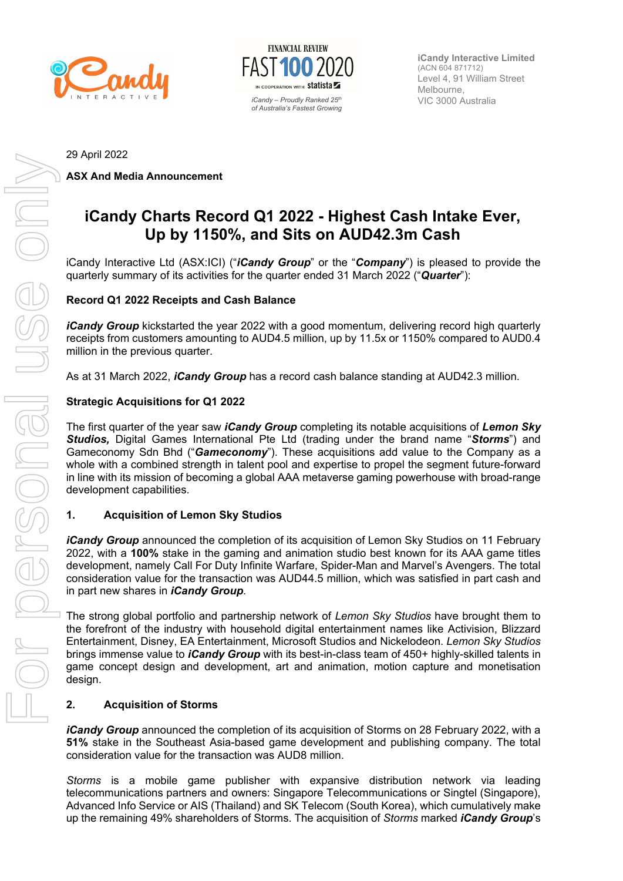



**iCandy Interactive Limited** (ACN 604 871712) Level 4, 91 William Street Melbourne,

29 April 2022

**ASX And Media Announcement** 

# **iCandy Charts Record Q1 2022 - Highest Cash Intake Ever, Up by 1150%, and Sits on AUD42.3m Cash**

iCandy Interactive Ltd (ASX:ICI) ("*iCandy Group*" or the "*Company*") is pleased to provide the quarterly summary of its activities for the quarter ended 31 March 2022 ("*Quarter*"):

## **Record Q1 2022 Receipts and Cash Balance**

*iCandy Group* kickstarted the year 2022 with a good momentum, delivering record high quarterly receipts from customers amounting to AUD4.5 million, up by 11.5x or 1150% compared to AUD0.4 million in the previous quarter.

As at 31 March 2022, *iCandy Group* has a record cash balance standing at AUD42.3 million.

### **Strategic Acquisitions for Q1 2022**

The first quarter of the year saw *iCandy Group* completing its notable acquisitions of *Lemon Sky Studios,* Digital Games International Pte Ltd (trading under the brand name "*Storms*") and Gameconomy Sdn Bhd ("*Gameconomy*"). These acquisitions add value to the Company as a whole with a combined strength in talent pool and expertise to propel the segment future-forward in line with its mission of becoming a global AAA metaverse gaming powerhouse with broad-range development capabilities.

#### **1. Acquisition of Lemon Sky Studios**

*iCandy Group* announced the completion of its acquisition of Lemon Sky Studios on 11 February 2022, with a **100%** stake in the gaming and animation studio best known for its AAA game titles development, namely Call For Duty Infinite Warfare, Spider-Man and Marvel's Avengers. The total consideration value for the transaction was AUD44.5 million, which was satisfied in part cash and in part new shares in *iCandy Group*.

The strong global portfolio and partnership network of *Lemon Sky Studios* have brought them to the forefront of the industry with household digital entertainment names like Activision, Blizzard Entertainment, Disney, EA Entertainment, Microsoft Studios and Nickelodeon. *Lemon Sky Studios* brings immense value to *iCandy Group* with its best-in-class team of 450+ highly-skilled talents in game concept design and development, art and animation, motion capture and monetisation design.

#### **2. Acquisition of Storms**

*iCandy Group* announced the completion of its acquisition of Storms on 28 February 2022, with a **51%** stake in the Southeast Asia-based game development and publishing company. The total consideration value for the transaction was AUD8 million.

*Storms* is a mobile game publisher with expansive distribution network via leading telecommunications partners and owners: Singapore Telecommunications or Singtel (Singapore), Advanced Info Service or AIS (Thailand) and SK Telecom (South Korea), which cumulatively make up the remaining 49% shareholders of Storms. The acquisition of *Storms* marked *iCandy Group*'s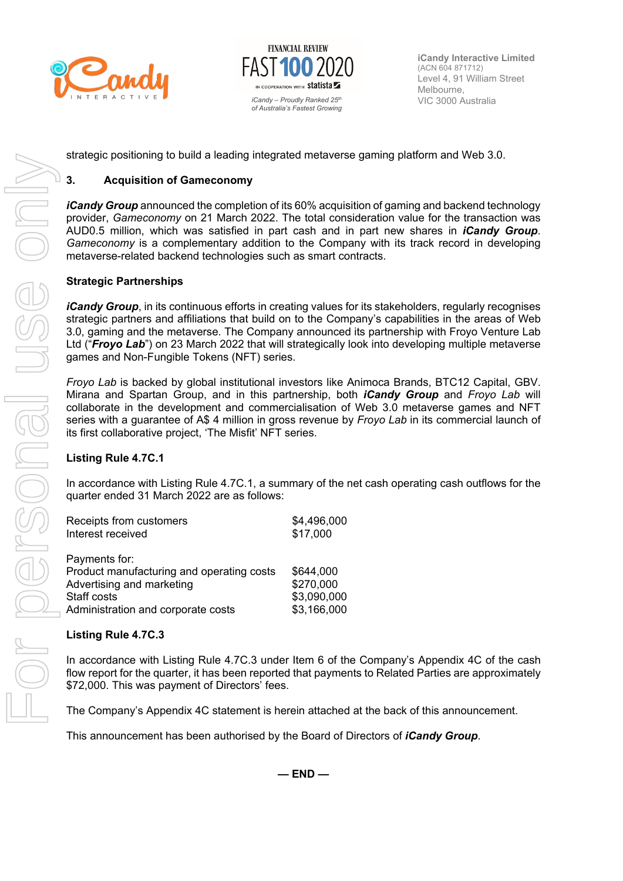



**iCandy Interactive Limited** (ACN 604 871712) Level 4, 91 William Street Melbourne,

strategic positioning to build a leading integrated metaverse gaming platform and Web 3.0.

## **3. Acquisition of Gameconomy**

*iCandy Group* announced the completion of its 60% acquisition of gaming and backend technology provider, *Gameconomy* on 21 March 2022. The total consideration value for the transaction was AUD0.5 million, which was satisfied in part cash and in part new shares in *iCandy Group*. *Gameconomy* is a complementary addition to the Company with its track record in developing metaverse-related backend technologies such as smart contracts.

#### **Strategic Partnerships**

*iCandy Group*, in its continuous efforts in creating values for its stakeholders, regularly recognises strategic partners and affiliations that build on to the Company's capabilities in the areas of Web 3.0, gaming and the metaverse. The Company announced its partnership with Froyo Venture Lab Ltd ("*Froyo Lab*") on 23 March 2022 that will strategically look into developing multiple metaverse games and Non-Fungible Tokens (NFT) series.

*Froyo Lab* is backed by global institutional investors like Animoca Brands, BTC12 Capital, GBV. Mirana and Spartan Group, and in this partnership, both *iCandy Group* and *Froyo Lab* will collaborate in the development and commercialisation of Web 3.0 metaverse games and NFT series with a guarantee of A\$ 4 million in gross revenue by *Froyo Lab* in its commercial launch of its first collaborative project, 'The Misfit' NFT series.

#### **Listing Rule 4.7C.1**

In accordance with Listing Rule 4.7C.1, a summary of the net cash operating cash outflows for the quarter ended 31 March 2022 are as follows:

| Receipts from customers                   | \$4,496,000 |
|-------------------------------------------|-------------|
| Interest received                         | \$17,000    |
|                                           |             |
| Payments for:                             |             |
| Product manufacturing and operating costs | \$644,000   |
| Advertising and marketing                 | \$270,000   |
| Staff costs                               | \$3,090,000 |
| Administration and corporate costs        | \$3,166,000 |

#### **Listing Rule 4.7C.3**

In accordance with Listing Rule 4.7C.3 under Item 6 of the Company's Appendix 4C of the cash flow report for the quarter, it has been reported that payments to Related Parties are approximately \$72,000. This was payment of Directors' fees.

The Company's Appendix 4C statement is herein attached at the back of this announcement.

This announcement has been authorised by the Board of Directors of *iCandy Group*.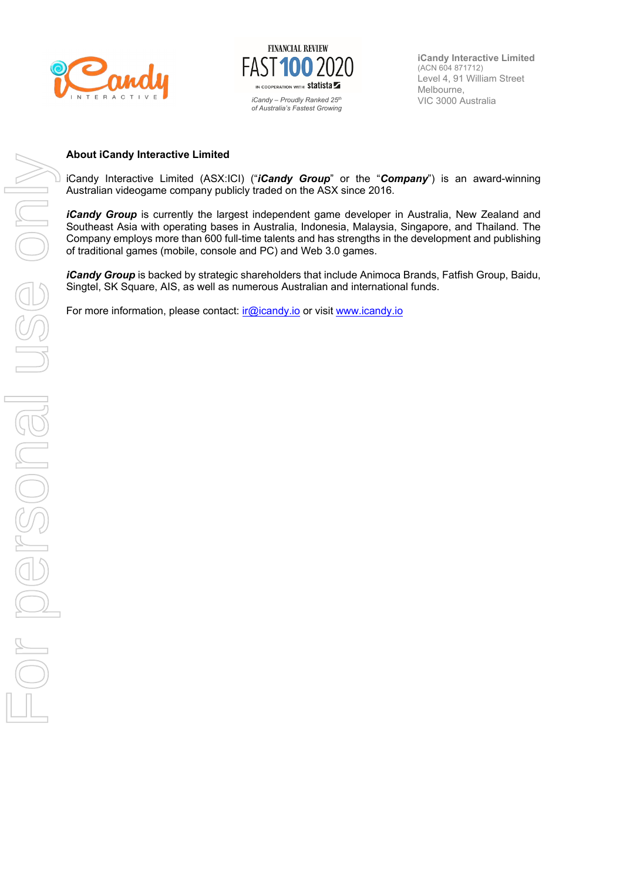



**iCandy Interactive Limited** (ACN 604 871712) Level 4, 91 William Street Melbourne,

#### **About iCandy Interactive Limited**

iCandy Interactive Limited (ASX:ICI) ("*iCandy Group*" or the "*Company*") is an award-winning Australian videogame company publicly traded on the ASX since 2016.

*iCandy Group* is currently the largest independent game developer in Australia, New Zealand and Southeast Asia with operating bases in Australia, Indonesia, Malaysia, Singapore, and Thailand. The Company employs more than 600 full-time talents and has strengths in the development and publishing of traditional games (mobile, console and PC) and Web 3.0 games.

*iCandy Group* is backed by strategic shareholders that include Animoca Brands, Fatfish Group, Baidu, Singtel, SK Square, AIS, as well as numerous Australian and international funds.

For more information, please contact:  $ir@icandy.io$  or visit www.icandy.io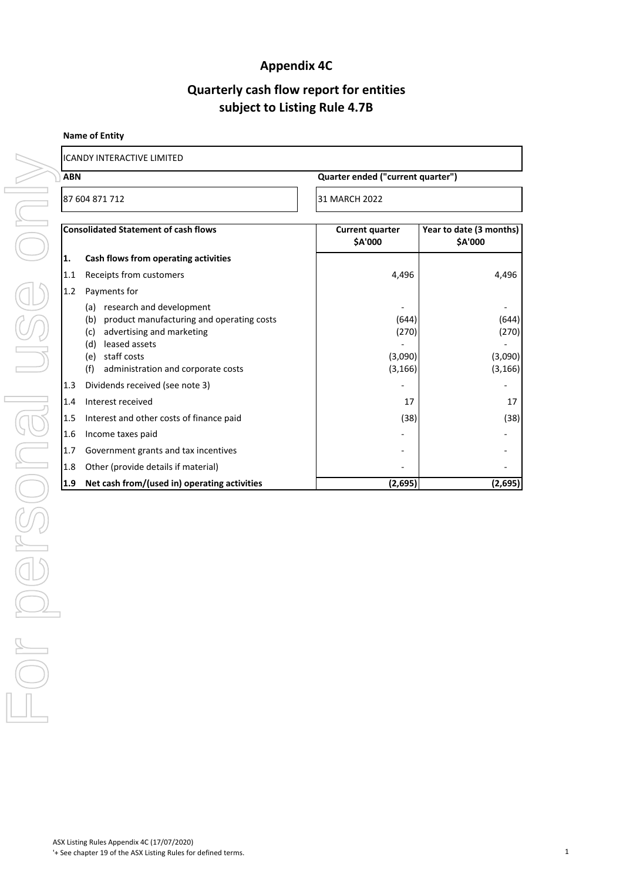## **Appendix 4C**

## **Quarterly cash flow report for entities subject to Listing Rule 4.7B**

#### **Name of Entity**

| I                             | 1 |
|-------------------------------|---|
| l                             |   |
| l<br>I                        |   |
| I                             |   |
| )<br>$\overline{\phantom{a}}$ |   |
|                               |   |
|                               |   |
| l                             |   |
| ١                             |   |
| l                             |   |
| I<br>۱                        |   |
| I                             |   |
| Ì<br>I                        |   |
|                               |   |
| I                             |   |
|                               |   |
| ١<br>Ì                        |   |
| l                             |   |
| I                             |   |
|                               |   |
| ١                             |   |
| j                             |   |
|                               |   |
| Ī                             |   |
| I                             |   |
|                               |   |
|                               |   |
| $\overline{\mathbb{I}}$<br>)  |   |
|                               | l |
| $\overline{2}$                |   |
| I                             |   |
| $\lambda$<br>)                |   |
|                               |   |
|                               |   |
| l                             |   |

# ICANDY INTERACTIVE LIMITED

| 87 604 871 712<br>31 MARCH 2022<br><b>Consolidated Statement of cash flows</b><br><b>Current quarter</b><br>Year to date (3 months)<br>\$A'000<br>\$A'000<br>1.<br>Cash flows from operating activities<br>1.1<br>Receipts from customers<br>4,496<br>4,496<br>Payments for<br>1.2<br>(a) research and development<br>$\overline{\phantom{0}}$<br>(b) product manufacturing and operating costs<br>(644)<br>(644)<br>(270)<br>advertising and marketing<br>(270)<br>(c)<br>(d) leased assets<br>$\overline{\phantom{m}}$<br>(e) staff costs<br>(3,090)<br>(3,090)<br>administration and corporate costs<br>(3, 166)<br>(3, 166)<br>(f)<br>Dividends received (see note 3)<br>1.3<br>Interest received<br>1.4<br>17<br>17<br>Interest and other costs of finance paid<br>(38)<br>(38)<br>1.5<br>1.6<br>Income taxes paid<br>1.7<br>Government grants and tax incentives<br>Other (provide details if material)<br>1.8<br>1.9<br>Net cash from/(used in) operating activities<br>(2,695)<br>(2,695) | Quarter ended ("current quarter")<br><b>ABN</b> |  |  |  |
|---------------------------------------------------------------------------------------------------------------------------------------------------------------------------------------------------------------------------------------------------------------------------------------------------------------------------------------------------------------------------------------------------------------------------------------------------------------------------------------------------------------------------------------------------------------------------------------------------------------------------------------------------------------------------------------------------------------------------------------------------------------------------------------------------------------------------------------------------------------------------------------------------------------------------------------------------------------------------------------------------|-------------------------------------------------|--|--|--|
|                                                                                                                                                                                                                                                                                                                                                                                                                                                                                                                                                                                                                                                                                                                                                                                                                                                                                                                                                                                                   |                                                 |  |  |  |
|                                                                                                                                                                                                                                                                                                                                                                                                                                                                                                                                                                                                                                                                                                                                                                                                                                                                                                                                                                                                   |                                                 |  |  |  |
|                                                                                                                                                                                                                                                                                                                                                                                                                                                                                                                                                                                                                                                                                                                                                                                                                                                                                                                                                                                                   |                                                 |  |  |  |
|                                                                                                                                                                                                                                                                                                                                                                                                                                                                                                                                                                                                                                                                                                                                                                                                                                                                                                                                                                                                   |                                                 |  |  |  |
|                                                                                                                                                                                                                                                                                                                                                                                                                                                                                                                                                                                                                                                                                                                                                                                                                                                                                                                                                                                                   |                                                 |  |  |  |
|                                                                                                                                                                                                                                                                                                                                                                                                                                                                                                                                                                                                                                                                                                                                                                                                                                                                                                                                                                                                   |                                                 |  |  |  |
|                                                                                                                                                                                                                                                                                                                                                                                                                                                                                                                                                                                                                                                                                                                                                                                                                                                                                                                                                                                                   |                                                 |  |  |  |
|                                                                                                                                                                                                                                                                                                                                                                                                                                                                                                                                                                                                                                                                                                                                                                                                                                                                                                                                                                                                   |                                                 |  |  |  |
|                                                                                                                                                                                                                                                                                                                                                                                                                                                                                                                                                                                                                                                                                                                                                                                                                                                                                                                                                                                                   |                                                 |  |  |  |
|                                                                                                                                                                                                                                                                                                                                                                                                                                                                                                                                                                                                                                                                                                                                                                                                                                                                                                                                                                                                   |                                                 |  |  |  |
|                                                                                                                                                                                                                                                                                                                                                                                                                                                                                                                                                                                                                                                                                                                                                                                                                                                                                                                                                                                                   |                                                 |  |  |  |
|                                                                                                                                                                                                                                                                                                                                                                                                                                                                                                                                                                                                                                                                                                                                                                                                                                                                                                                                                                                                   |                                                 |  |  |  |
|                                                                                                                                                                                                                                                                                                                                                                                                                                                                                                                                                                                                                                                                                                                                                                                                                                                                                                                                                                                                   |                                                 |  |  |  |
|                                                                                                                                                                                                                                                                                                                                                                                                                                                                                                                                                                                                                                                                                                                                                                                                                                                                                                                                                                                                   |                                                 |  |  |  |
|                                                                                                                                                                                                                                                                                                                                                                                                                                                                                                                                                                                                                                                                                                                                                                                                                                                                                                                                                                                                   |                                                 |  |  |  |
|                                                                                                                                                                                                                                                                                                                                                                                                                                                                                                                                                                                                                                                                                                                                                                                                                                                                                                                                                                                                   |                                                 |  |  |  |
|                                                                                                                                                                                                                                                                                                                                                                                                                                                                                                                                                                                                                                                                                                                                                                                                                                                                                                                                                                                                   |                                                 |  |  |  |
|                                                                                                                                                                                                                                                                                                                                                                                                                                                                                                                                                                                                                                                                                                                                                                                                                                                                                                                                                                                                   |                                                 |  |  |  |
|                                                                                                                                                                                                                                                                                                                                                                                                                                                                                                                                                                                                                                                                                                                                                                                                                                                                                                                                                                                                   |                                                 |  |  |  |
|                                                                                                                                                                                                                                                                                                                                                                                                                                                                                                                                                                                                                                                                                                                                                                                                                                                                                                                                                                                                   |                                                 |  |  |  |
|                                                                                                                                                                                                                                                                                                                                                                                                                                                                                                                                                                                                                                                                                                                                                                                                                                                                                                                                                                                                   |                                                 |  |  |  |
|                                                                                                                                                                                                                                                                                                                                                                                                                                                                                                                                                                                                                                                                                                                                                                                                                                                                                                                                                                                                   |                                                 |  |  |  |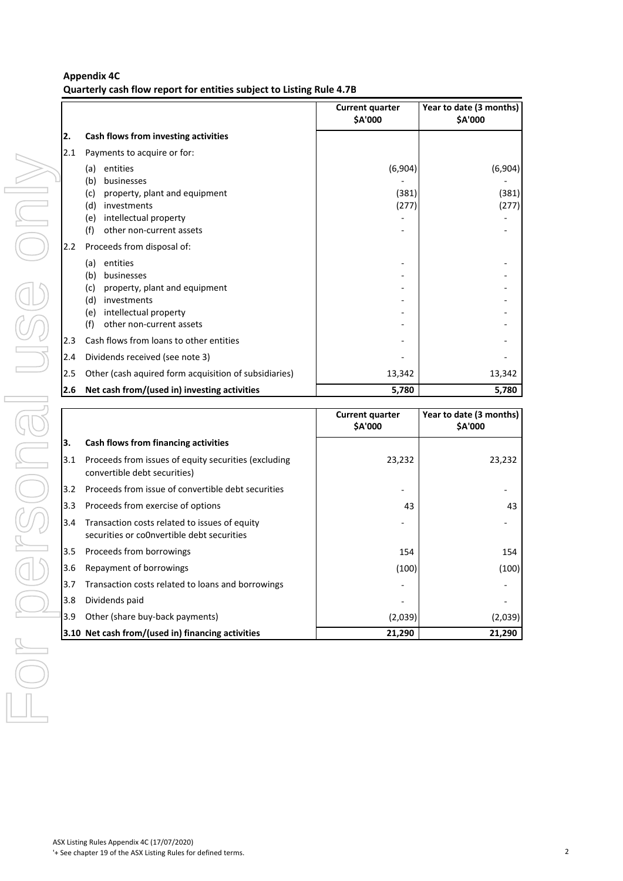#### **Appendix 4C**

**Quarterly cash flow report for entities subject to Listing Rule 4.7B**

|     |                                                                                             | <b>Current quarter</b><br>\$A'000 | Year to date (3 months)<br>\$A'000 |
|-----|---------------------------------------------------------------------------------------------|-----------------------------------|------------------------------------|
| 2.  | Cash flows from investing activities                                                        |                                   |                                    |
| 2.1 | Payments to acquire or for:                                                                 |                                   |                                    |
|     | entities<br>(a)                                                                             | (6,904)                           | (6,904)                            |
|     | businesses<br>(b)                                                                           |                                   |                                    |
|     | property, plant and equipment<br>(c)<br>investments<br>(d)                                  | (381)<br>(277)                    | (381)<br>(277)                     |
|     | intellectual property<br>(e)                                                                |                                   |                                    |
|     | other non-current assets<br>(f)                                                             |                                   |                                    |
| 2.2 | Proceeds from disposal of:                                                                  |                                   |                                    |
|     | entities<br>(a)                                                                             |                                   |                                    |
|     | businesses<br>(b)                                                                           |                                   |                                    |
|     | property, plant and equipment<br>(c)<br>investments<br>(d)                                  |                                   |                                    |
|     | intellectual property<br>(e)                                                                |                                   |                                    |
|     | other non-current assets<br>(f)                                                             |                                   |                                    |
| 2.3 | Cash flows from loans to other entities                                                     |                                   |                                    |
| 2.4 | Dividends received (see note 3)                                                             |                                   |                                    |
| 2.5 | Other (cash aquired form acquisition of subsidiaries)                                       | 13,342                            | 13,342                             |
| 2.6 | Net cash from/(used in) investing activities                                                | 5,780                             | 5,780                              |
|     |                                                                                             | <b>Current quarter</b><br>\$A'000 | Year to date (3 months)<br>\$A'000 |
| 3.  | Cash flows from financing activities                                                        |                                   |                                    |
| 3.1 | Proceeds from issues of equity securities (excluding                                        | 23,232                            | 23,232                             |
|     | convertible debt securities)                                                                |                                   |                                    |
| 3.2 | Proceeds from issue of convertible debt securities                                          |                                   |                                    |
| 3.3 | Proceeds from exercise of options                                                           | 43                                | 43                                 |
| 3.4 | Transaction costs related to issues of equity<br>securities or co0nvertible debt securities |                                   |                                    |
|     |                                                                                             |                                   |                                    |
| 3.5 | Proceeds from borrowings                                                                    | 154                               | 154                                |
| 3.6 | Repayment of borrowings                                                                     |                                   |                                    |
| 3.7 | Transaction costs related to loans and borrowings                                           | (100)                             |                                    |
| 3.8 | Dividends paid                                                                              |                                   |                                    |
| 3.9 | Other (share buy-back payments)                                                             | (2,039)                           | (100)<br>(2,039)                   |

|     |                                                                                             | <b>Current quarter</b><br><b>\$A'000</b> | Year to date (3 months)<br>\$A'000 |
|-----|---------------------------------------------------------------------------------------------|------------------------------------------|------------------------------------|
| 3.  | Cash flows from financing activities                                                        |                                          |                                    |
| 3.1 | Proceeds from issues of equity securities (excluding<br>convertible debt securities)        | 23,232                                   | 23,232                             |
| 3.2 | Proceeds from issue of convertible debt securities                                          |                                          |                                    |
| 3.3 | Proceeds from exercise of options                                                           | 43                                       | 43                                 |
| 3.4 | Transaction costs related to issues of equity<br>securities or co0nvertible debt securities |                                          |                                    |
| 3.5 | Proceeds from borrowings                                                                    | 154                                      | 154                                |
| 3.6 | Repayment of borrowings                                                                     | (100)                                    | (100)                              |
| 3.7 | Transaction costs related to loans and borrowings                                           |                                          |                                    |
| 3.8 | Dividends paid                                                                              |                                          |                                    |
| 3.9 | Other (share buy-back payments)                                                             | (2,039)                                  | (2,039)                            |
|     | 3.10 Net cash from/(used in) financing activities                                           | 21,290                                   | 21,290                             |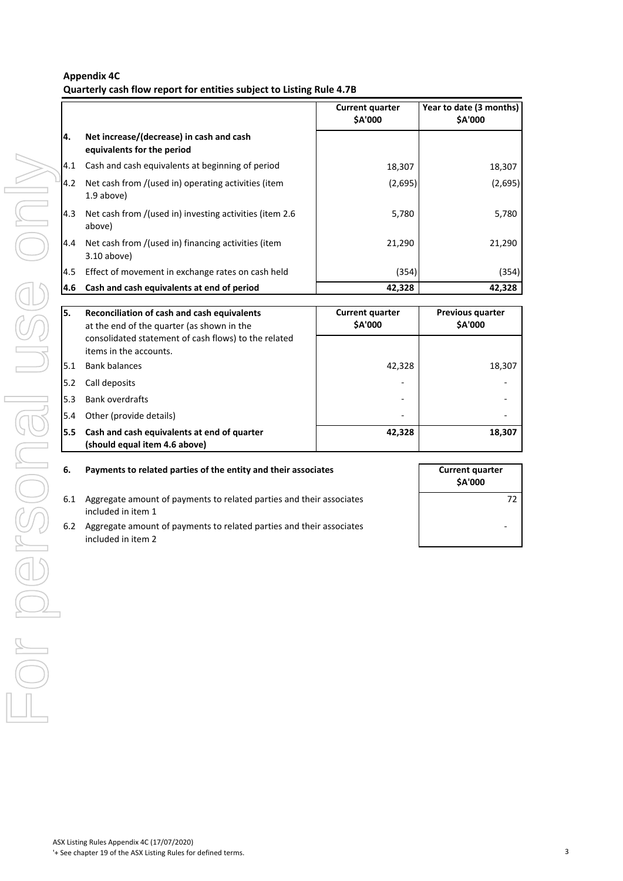#### **Appendix 4C Quarterly cash flow report for entities subject to Listing Rule 4.7B**

|      |                                                                        | <b>Current quarter</b><br><b>SA'000</b> | Year to date (3 months)<br><b>SA'000</b> |
|------|------------------------------------------------------------------------|-----------------------------------------|------------------------------------------|
| 14.  | Net increase/(decrease) in cash and cash<br>equivalents for the period |                                         |                                          |
| 4.1  | Cash and cash equivalents at beginning of period                       | 18,307                                  | 18,307                                   |
| 4.2  | Net cash from /(used in) operating activities (item<br>1.9 above)      | (2,695)                                 | (2,695)                                  |
| 4.3  | Net cash from /(used in) investing activities (item 2.6<br>above)      | 5,780                                   | 5,780                                    |
| 4.4  | Net cash from /(used in) financing activities (item<br>$3.10$ above)   | 21,290                                  | 21,290                                   |
| 4.5  | Effect of movement in exchange rates on cash held                      | (354)                                   | (354)                                    |
| 14.6 | Cash and cash equivalents at end of period                             | 42,328                                  | 42,328                                   |

| 4.1 Cash and cash equivalents at beginning of period<br>18,307<br>Net cash from /(used in) operating activities (item<br>(2,695)<br>4.2<br>1.9 above)<br>4.3<br>Net cash from /(used in) investing activities (item 2.6<br>5,780<br>above)<br>Net cash from /(used in) financing activities (item<br>21,290<br>4.4<br>3.10 above)<br>Effect of movement in exchange rates on cash held<br>4.5<br>(354)<br>Cash and cash equivalents at end of period<br>42,328<br>4.6<br>5.<br>Reconciliation of cash and cash equivalents<br><b>Current quarter</b><br>Previous quarter<br>\$A'000<br>\$A'000<br>at the end of the quarter (as shown in the<br>consolidated statement of cash flows) to the related<br>items in the accounts.<br>5.1<br><b>Bank balances</b><br>42,328<br>5.2<br>Call deposits<br><b>Bank overdrafts</b><br>5.3<br>Other (provide details)<br>5.4<br>5.5<br>Cash and cash equivalents at end of quarter<br>42,328<br>(should equal item 4.6 above)<br>6.<br>Payments to related parties of the entity and their associates<br><b>Current quarter</b><br>\$A'000<br>6.1<br>Aggregate amount of payments to related parties and their associates<br>included in item 1<br>6.2<br>Aggregate amount of payments to related parties and their associates<br>included in item 2 | 18,307<br>(2,695)<br>5,780<br>21,290<br>(354)<br>42,328<br>18,307<br>18,307<br>72 |  |  |
|--------------------------------------------------------------------------------------------------------------------------------------------------------------------------------------------------------------------------------------------------------------------------------------------------------------------------------------------------------------------------------------------------------------------------------------------------------------------------------------------------------------------------------------------------------------------------------------------------------------------------------------------------------------------------------------------------------------------------------------------------------------------------------------------------------------------------------------------------------------------------------------------------------------------------------------------------------------------------------------------------------------------------------------------------------------------------------------------------------------------------------------------------------------------------------------------------------------------------------------------------------------------------------------------|-----------------------------------------------------------------------------------|--|--|
|                                                                                                                                                                                                                                                                                                                                                                                                                                                                                                                                                                                                                                                                                                                                                                                                                                                                                                                                                                                                                                                                                                                                                                                                                                                                                            |                                                                                   |  |  |
|                                                                                                                                                                                                                                                                                                                                                                                                                                                                                                                                                                                                                                                                                                                                                                                                                                                                                                                                                                                                                                                                                                                                                                                                                                                                                            |                                                                                   |  |  |
|                                                                                                                                                                                                                                                                                                                                                                                                                                                                                                                                                                                                                                                                                                                                                                                                                                                                                                                                                                                                                                                                                                                                                                                                                                                                                            |                                                                                   |  |  |
|                                                                                                                                                                                                                                                                                                                                                                                                                                                                                                                                                                                                                                                                                                                                                                                                                                                                                                                                                                                                                                                                                                                                                                                                                                                                                            |                                                                                   |  |  |
|                                                                                                                                                                                                                                                                                                                                                                                                                                                                                                                                                                                                                                                                                                                                                                                                                                                                                                                                                                                                                                                                                                                                                                                                                                                                                            |                                                                                   |  |  |
|                                                                                                                                                                                                                                                                                                                                                                                                                                                                                                                                                                                                                                                                                                                                                                                                                                                                                                                                                                                                                                                                                                                                                                                                                                                                                            |                                                                                   |  |  |
|                                                                                                                                                                                                                                                                                                                                                                                                                                                                                                                                                                                                                                                                                                                                                                                                                                                                                                                                                                                                                                                                                                                                                                                                                                                                                            |                                                                                   |  |  |
|                                                                                                                                                                                                                                                                                                                                                                                                                                                                                                                                                                                                                                                                                                                                                                                                                                                                                                                                                                                                                                                                                                                                                                                                                                                                                            |                                                                                   |  |  |
|                                                                                                                                                                                                                                                                                                                                                                                                                                                                                                                                                                                                                                                                                                                                                                                                                                                                                                                                                                                                                                                                                                                                                                                                                                                                                            |                                                                                   |  |  |
|                                                                                                                                                                                                                                                                                                                                                                                                                                                                                                                                                                                                                                                                                                                                                                                                                                                                                                                                                                                                                                                                                                                                                                                                                                                                                            |                                                                                   |  |  |
|                                                                                                                                                                                                                                                                                                                                                                                                                                                                                                                                                                                                                                                                                                                                                                                                                                                                                                                                                                                                                                                                                                                                                                                                                                                                                            |                                                                                   |  |  |
|                                                                                                                                                                                                                                                                                                                                                                                                                                                                                                                                                                                                                                                                                                                                                                                                                                                                                                                                                                                                                                                                                                                                                                                                                                                                                            |                                                                                   |  |  |
|                                                                                                                                                                                                                                                                                                                                                                                                                                                                                                                                                                                                                                                                                                                                                                                                                                                                                                                                                                                                                                                                                                                                                                                                                                                                                            |                                                                                   |  |  |
|                                                                                                                                                                                                                                                                                                                                                                                                                                                                                                                                                                                                                                                                                                                                                                                                                                                                                                                                                                                                                                                                                                                                                                                                                                                                                            |                                                                                   |  |  |
|                                                                                                                                                                                                                                                                                                                                                                                                                                                                                                                                                                                                                                                                                                                                                                                                                                                                                                                                                                                                                                                                                                                                                                                                                                                                                            |                                                                                   |  |  |
|                                                                                                                                                                                                                                                                                                                                                                                                                                                                                                                                                                                                                                                                                                                                                                                                                                                                                                                                                                                                                                                                                                                                                                                                                                                                                            |                                                                                   |  |  |
|                                                                                                                                                                                                                                                                                                                                                                                                                                                                                                                                                                                                                                                                                                                                                                                                                                                                                                                                                                                                                                                                                                                                                                                                                                                                                            |                                                                                   |  |  |
|                                                                                                                                                                                                                                                                                                                                                                                                                                                                                                                                                                                                                                                                                                                                                                                                                                                                                                                                                                                                                                                                                                                                                                                                                                                                                            |                                                                                   |  |  |
|                                                                                                                                                                                                                                                                                                                                                                                                                                                                                                                                                                                                                                                                                                                                                                                                                                                                                                                                                                                                                                                                                                                                                                                                                                                                                            |                                                                                   |  |  |
|                                                                                                                                                                                                                                                                                                                                                                                                                                                                                                                                                                                                                                                                                                                                                                                                                                                                                                                                                                                                                                                                                                                                                                                                                                                                                            |                                                                                   |  |  |
|                                                                                                                                                                                                                                                                                                                                                                                                                                                                                                                                                                                                                                                                                                                                                                                                                                                                                                                                                                                                                                                                                                                                                                                                                                                                                            |                                                                                   |  |  |
|                                                                                                                                                                                                                                                                                                                                                                                                                                                                                                                                                                                                                                                                                                                                                                                                                                                                                                                                                                                                                                                                                                                                                                                                                                                                                            |                                                                                   |  |  |
|                                                                                                                                                                                                                                                                                                                                                                                                                                                                                                                                                                                                                                                                                                                                                                                                                                                                                                                                                                                                                                                                                                                                                                                                                                                                                            |                                                                                   |  |  |

#### **6. Payments to related parties of the entity and their associates**

- 6.1 Aggregate amount of payments to related parties and their associates included in item 1
- 6.2 Aggregate amount of payments to related parties and their associates included in item 2

| <b>Current quarter</b><br>\$A'000 |    |
|-----------------------------------|----|
|                                   | 72 |
|                                   |    |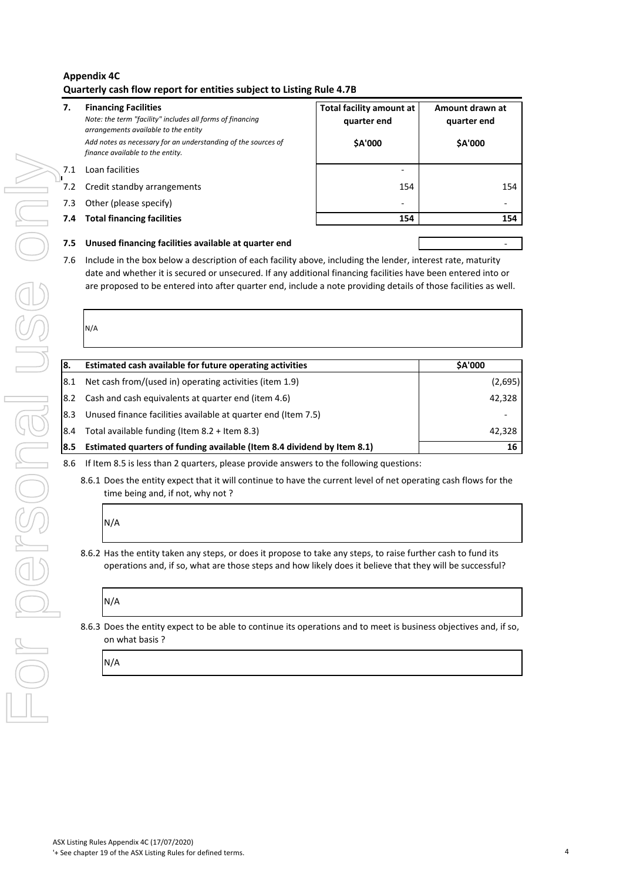#### **Appendix 4C Quarterly cash flow report for entities subject to Listing Rule 4.7B**

#### **7. Financing Facilities**

*Note: the term "facility" includes all forms of financing arrangements available to the entity Add notes as necessary for an understanding of the sources of finance available to the entity.*

- 7.2 Credit standby arrangements
- 7.3 Other (please specify)
- **7.4 Total financing facilities**

| <b>Total facility amount at</b><br>quarter end<br>\$A'000 | Amount drawn at<br>quarter end<br>\$A'000 |
|-----------------------------------------------------------|-------------------------------------------|
|                                                           |                                           |
| 154                                                       | 154                                       |
|                                                           |                                           |
| 154                                                       | 154                                       |
|                                                           |                                           |

#### **7.5 Unused financing facilities available at quarter end**

| 7.1 |                                                                                                                                     |     |         |
|-----|-------------------------------------------------------------------------------------------------------------------------------------|-----|---------|
|     | Loan facilities                                                                                                                     |     |         |
| 7.2 | Credit standby arrangements                                                                                                         | 154 | 154     |
| 7.3 | Other (please specify)                                                                                                              |     |         |
| 7.4 | <b>Total financing facilities</b>                                                                                                   | 154 | 154     |
| 7.5 | Unused financing facilities available at quarter end                                                                                |     |         |
| 7.6 | Include in the box below a description of each facility above, including the lender, interest rate, maturity                        |     |         |
|     | date and whether it is secured or unsecured. If any additional financing facilities have been entered into or                       |     |         |
|     | are proposed to be entered into after quarter end, include a note providing details of those facilities as well.                    |     |         |
|     |                                                                                                                                     |     |         |
|     | N/A                                                                                                                                 |     |         |
|     |                                                                                                                                     |     |         |
| 8.  | Estimated cash available for future operating activities                                                                            |     | \$A'000 |
| 8.1 | Net cash from/(used in) operating activities (item 1.9)                                                                             |     | (2,695) |
| 8.2 | Cash and cash equivalents at quarter end (item 4.6)                                                                                 |     | 42,328  |
| 8.3 | Unused finance facilities available at quarter end (Item 7.5)                                                                       |     |         |
| 8.4 | Total available funding (Item 8.2 + Item 8.3)                                                                                       |     | 42,328  |
| 8.5 | Estimated quarters of funding available (Item 8.4 dividend by Item 8.1)                                                             |     | 16      |
| 8.6 | If Item 8.5 is less than 2 quarters, please provide answers to the following questions:                                             |     |         |
|     | N/A                                                                                                                                 |     |         |
|     | 8.6.2 Has the entity taken any steps, or does it propose to take any steps, to raise further cash to fund its                       |     |         |
|     | operations and, if so, what are those steps and how likely does it believe that they will be successful?<br>N/A                     |     |         |
|     | 8.6.3 Does the entity expect to be able to continue its operations and to meet is business objectives and, if so,<br>on what basis? |     |         |
|     | N/A                                                                                                                                 |     |         |
|     |                                                                                                                                     |     |         |
|     |                                                                                                                                     |     |         |
|     |                                                                                                                                     |     |         |
|     |                                                                                                                                     |     |         |
|     |                                                                                                                                     |     |         |
|     |                                                                                                                                     |     |         |
|     |                                                                                                                                     |     |         |
|     |                                                                                                                                     |     |         |
|     |                                                                                                                                     |     |         |

## N/A

# N/A